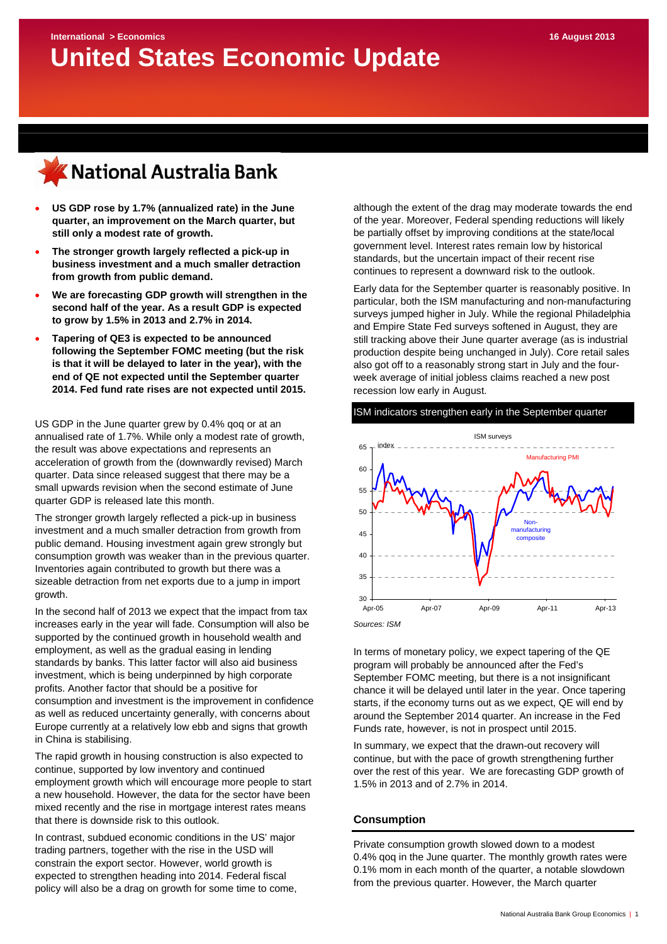

- **US GDP rose by 1.7% (annualized rate) in the June quarter, an improvement on the March quarter, but still only a modest rate of growth.**
- **The stronger growth largely reflected a pick-up in business investment and a much smaller detraction from growth from public demand.**
- **We are forecasting GDP growth will strengthen in the second half of the year. As a result GDP is expected to grow by 1.5% in 2013 and 2.7% in 2014.**
- **Tapering of QE3 is expected to be announced following the September FOMC meeting (but the risk is that it will be delayed to later in the year), with the end of QE not expected until the September quarter 2014. Fed fund rate rises are not expected until 2015.**

US GDP in the June quarter grew by 0.4% qoq or at an annualised rate of 1.7%. While only a modest rate of growth, the result was above expectations and represents an acceleration of growth from the (downwardly revised) March quarter. Data since released suggest that there may be a small upwards revision when the second estimate of June quarter GDP is released late this month.

The stronger growth largely reflected a pick-up in business investment and a much smaller detraction from growth from public demand. Housing investment again grew strongly but consumption growth was weaker than in the previous quarter. Inventories again contributed to growth but there was a sizeable detraction from net exports due to a jump in import growth.

In the second half of 2013 we expect that the impact from tax increases early in the year will fade. Consumption will also be supported by the continued growth in household wealth and employment, as well as the gradual easing in lending standards by banks. This latter factor will also aid business investment, which is being underpinned by high corporate profits. Another factor that should be a positive for consumption and investment is the improvement in confidence as well as reduced uncertainty generally, with concerns about Europe currently at a relatively low ebb and signs that growth in China is stabilising.

The rapid growth in housing construction is also expected to continue, supported by low inventory and continued employment growth which will encourage more people to start a new household. However, the data for the sector have been mixed recently and the rise in mortgage interest rates means that there is downside risk to this outlook.

In contrast, subdued economic conditions in the US' major trading partners, together with the rise in the USD will constrain the export sector. However, world growth is expected to strengthen heading into 2014. Federal fiscal policy will also be a drag on growth for some time to come, although the extent of the drag may moderate towards the end of the year. Moreover, Federal spending reductions will likely be partially offset by improving conditions at the state/local government level. Interest rates remain low by historical standards, but the uncertain impact of their recent rise continues to represent a downward risk to the outlook.

Early data for the September quarter is reasonably positive. In particular, both the ISM manufacturing and non-manufacturing surveys jumped higher in July. While the regional Philadelphia and Empire State Fed surveys softened in August, they are still tracking above their June quarter average (as is industrial production despite being unchanged in July). Core retail sales also got off to a reasonably strong start in July and the fourweek average of initial jobless claims reached a new post recession low early in August.

### ISM indicators strengthen early in the September quarter



In terms of monetary policy, we expect tapering of the QE program will probably be announced after the Fed's September FOMC meeting, but there is a not insignificant chance it will be delayed until later in the year. Once tapering starts, if the economy turns out as we expect, QE will end by around the September 2014 quarter. An increase in the Fed Funds rate, however, is not in prospect until 2015.

In summary, we expect that the drawn-out recovery will continue, but with the pace of growth strengthening further over the rest of this year. We are forecasting GDP growth of 1.5% in 2013 and of 2.7% in 2014.

## **Consumption**

Private consumption growth slowed down to a modest 0.4% qoq in the June quarter. The monthly growth rates were 0.1% mom in each month of the quarter, a notable slowdown from the previous quarter. However, the March quarter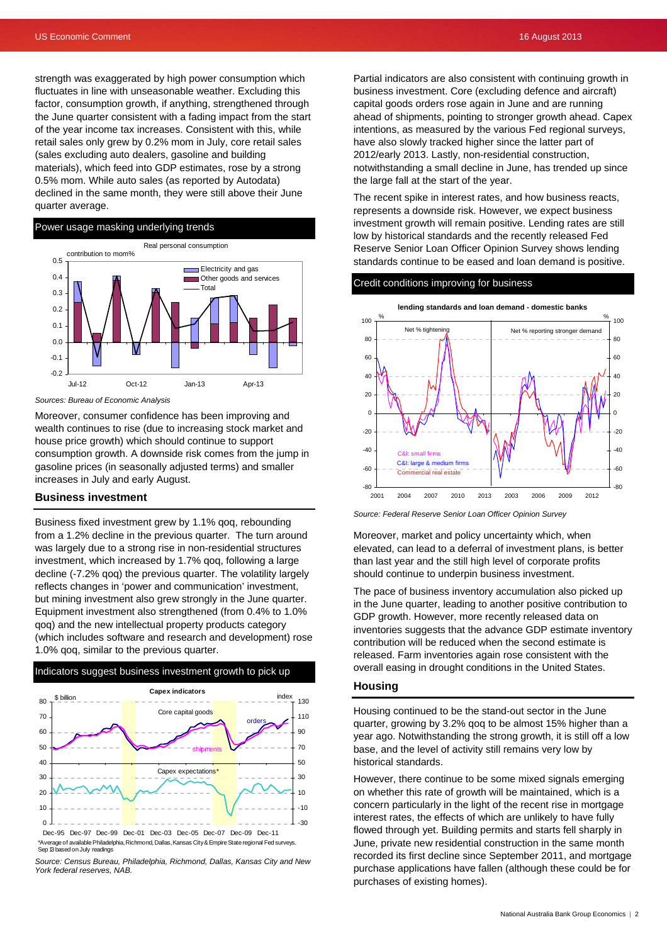strength was exaggerated by high power consumption which fluctuates in line with unseasonable weather. Excluding this factor, consumption growth, if anything, strengthened through the June quarter consistent with a fading impact from the start of the year income tax increases. Consistent with this, while retail sales only grew by 0.2% mom in July, core retail sales (sales excluding auto dealers, gasoline and building materials), which feed into GDP estimates, rose by a strong 0.5% mom. While auto sales (as reported by Autodata) declined in the same month, they were still above their June quarter average.

# Power usage masking underlying trends



*Sources: Bureau of Economic Analysis*

Moreover, consumer confidence has been improving and wealth continues to rise (due to increasing stock market and house price growth) which should continue to support consumption growth. A downside risk comes from the jump in gasoline prices (in seasonally adjusted terms) and smaller increases in July and early August.

## **Business investment**

Business fixed investment grew by 1.1% qoq, rebounding from a 1.2% decline in the previous quarter. The turn around was largely due to a strong rise in non-residential structures investment, which increased by 1.7% qoq, following a large decline (-7.2% qoq) the previous quarter. The volatility largely reflects changes in 'power and communication' investment, but mining investment also grew strongly in the June quarter. Equipment investment also strengthened (from 0.4% to 1.0% qoq) and the new intellectual property products category (which includes software and research and development) rose 1.0% qoq, similar to the previous quarter.



Dec-95 Dec-97 Dec-99 Dec-01 Dec-03 Dec-05 Dec-07 Dec-09 Dec-11 \*Average of available Philadelphia, Richmond, Dallas, Kansas City & Empire State regional Fed surveys. Sep 13 based on July readings

*Source: Census Bureau, Philadelphia, Richmond, Dallas, Kansas City and New York federal reserves, NAB.* 

Partial indicators are also consistent with continuing growth in business investment. Core (excluding defence and aircraft) capital goods orders rose again in June and are running ahead of shipments, pointing to stronger growth ahead. Capex intentions, as measured by the various Fed regional surveys, have also slowly tracked higher since the latter part of 2012/early 2013. Lastly, non-residential construction, notwithstanding a small decline in June, has trended up since the large fall at the start of the year.

The recent spike in interest rates, and how business reacts, represents a downside risk. However, we expect business investment growth will remain positive. Lending rates are still low by historical standards and the recently released Fed Reserve Senior Loan Officer Opinion Survey shows lending standards continue to be eased and loan demand is positive.

#### Credit conditions improving for business



*Source: Federal Reserve Senior Loan Officer Opinion Survey* 

Moreover, market and policy uncertainty which, when elevated, can lead to a deferral of investment plans, is better than last year and the still high level of corporate profits should continue to underpin business investment.

The pace of business inventory accumulation also picked up in the June quarter, leading to another positive contribution to GDP growth. However, more recently released data on inventories suggests that the advance GDP estimate inventory contribution will be reduced when the second estimate is released. Farm inventories again rose consistent with the overall easing in drought conditions in the United States.

## **Housing**

Housing continued to be the stand-out sector in the June quarter, growing by 3.2% qoq to be almost 15% higher than a year ago. Notwithstanding the strong growth, it is still off a low base, and the level of activity still remains very low by historical standards.

However, there continue to be some mixed signals emerging on whether this rate of growth will be maintained, which is a concern particularly in the light of the recent rise in mortgage interest rates, the effects of which are unlikely to have fully flowed through yet. Building permits and starts fell sharply in June, private new residential construction in the same month recorded its first decline since September 2011, and mortgage purchase applications have fallen (although these could be for purchases of existing homes).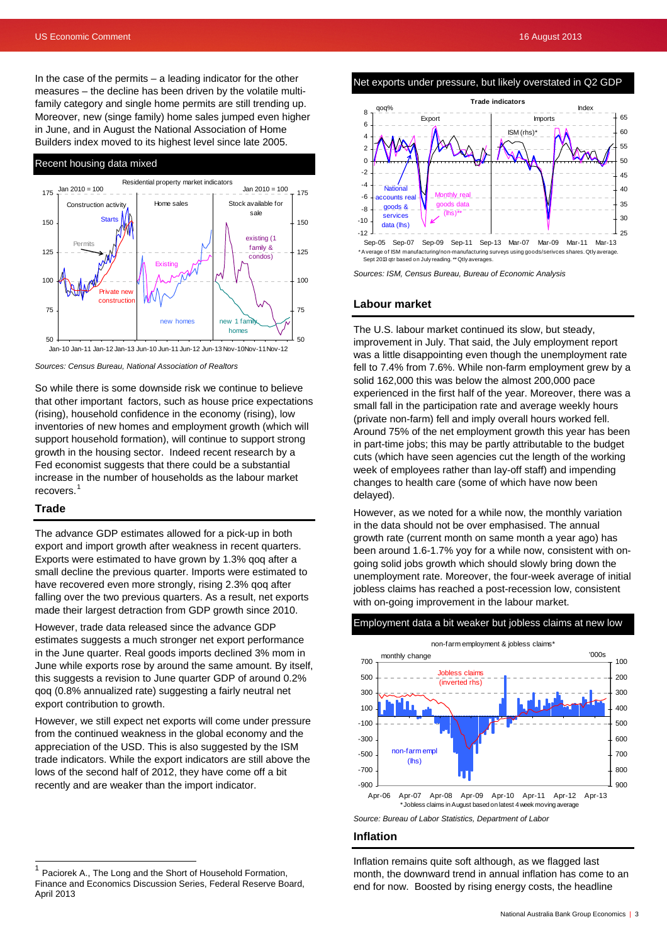In the case of the permits  $-$  a leading indicator for the other measures – the decline has been driven by the volatile multifamily category and single home permits are still trending up. Moreover, new (singe family) home sales jumped even higher in June, and in August the National Association of Home Builders index moved to its highest level since late 2005.



*Sources: Census Bureau, National Association of Realtors* 

So while there is some downside risk we continue to believe that other important factors, such as house price expectations (rising), household confidence in the economy (rising), low inventories of new homes and employment growth (which will support household formation), will continue to support strong growth in the housing sector. Indeed recent research by a Fed economist suggests that there could be a substantial increase in the number of households as the labour market recovers.<sup>[1](#page-2-0)</sup>

#### **Trade**

 $\overline{a}$ 

The advance GDP estimates allowed for a pick-up in both export and import growth after weakness in recent quarters. Exports were estimated to have grown by 1.3% qoq after a small decline the previous quarter. Imports were estimated to have recovered even more strongly, rising 2.3% qoq after falling over the two previous quarters. As a result, net exports made their largest detraction from GDP growth since 2010.

However, trade data released since the advance GDP estimates suggests a much stronger net export performance in the June quarter. Real goods imports declined 3% mom in June while exports rose by around the same amount. By itself, this suggests a revision to June quarter GDP of around 0.2% qoq (0.8% annualized rate) suggesting a fairly neutral net export contribution to growth.

However, we still expect net exports will come under pressure from the continued weakness in the global economy and the appreciation of the USD. This is also suggested by the ISM trade indicators. While the export indicators are still above the lows of the second half of 2012, they have come off a bit recently and are weaker than the import indicator.

## Net exports under pressure, but likely overstated in Q2 GDP



*Sources: ISM, Census Bureau, Bureau of Economic Analysis* 

#### **Labour market**

The U.S. labour market continued its slow, but steady, improvement in July. That said, the July employment report was a little disappointing even though the unemployment rate fell to 7.4% from 7.6%. While non-farm employment grew by a solid 162,000 this was below the almost 200,000 pace experienced in the first half of the year. Moreover, there was a small fall in the participation rate and average weekly hours (private non-farm) fell and imply overall hours worked fell. Around 75% of the net employment growth this year has been in part-time jobs; this may be partly attributable to the budget cuts (which have seen agencies cut the length of the working week of employees rather than lay-off staff) and impending changes to health care (some of which have now been delayed).

However, as we noted for a while now, the monthly variation in the data should not be over emphasised. The annual growth rate (current month on same month a year ago) has been around 1.6-1.7% yoy for a while now, consistent with ongoing solid jobs growth which should slowly bring down the unemployment rate. Moreover, the four-week average of initial jobless claims has reached a post-recession low, consistent with on-going improvement in the labour market.

## Employment data a bit weaker but jobless claims at new low



## **Inflation**

Inflation remains quite soft although, as we flagged last month, the downward trend in annual inflation has come to an end for now. Boosted by rising energy costs, the headline

<span id="page-2-0"></span><sup>1</sup> Paciorek A., The Long and the Short of Household Formation, Finance and Economics Discussion Series, Federal Reserve Board, April 2013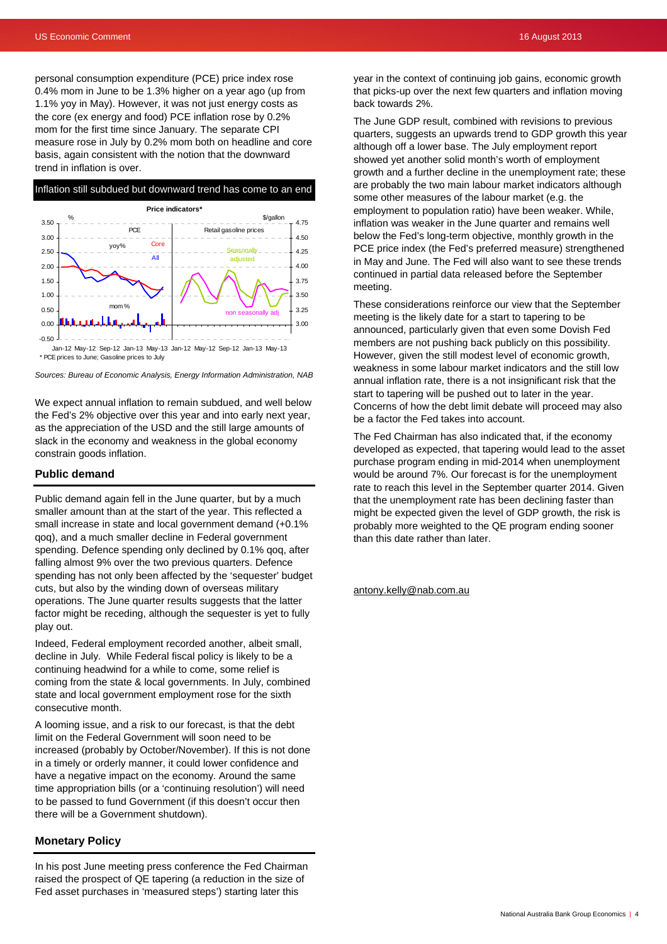personal consumption expenditure (PCE) price index rose 0.4% mom in June to be 1.3% higher on a year ago (up from 1.1% yoy in May). However, it was not just energy costs as the core (ex energy and food) PCE inflation rose by 0.2% mom for the first time since January. The separate CPI measure rose in July by 0.2% mom both on headline and core basis, again consistent with the notion that the downward trend in inflation is over.



*Sources: Bureau of Economic Analysis, Energy Information Administration, NAB* 

We expect annual inflation to remain subdued, and well below the Fed's 2% objective over this year and into early next year, as the appreciation of the USD and the still large amounts of slack in the economy and weakness in the global economy constrain goods inflation.

## **Public demand**

Public demand again fell in the June quarter, but by a much smaller amount than at the start of the year. This reflected a small increase in state and local government demand (+0.1% qoq), and a much smaller decline in Federal government spending. Defence spending only declined by 0.1% qoq, after falling almost 9% over the two previous quarters. Defence spending has not only been affected by the 'sequester' budget cuts, but also by the winding down of overseas military operations. The June quarter results suggests that the latter factor might be receding, although the sequester is yet to fully play out.

Indeed, Federal employment recorded another, albeit small, decline in July. While Federal fiscal policy is likely to be a continuing headwind for a while to come, some relief is coming from the state & local governments. In July, combined state and local government employment rose for the sixth consecutive month.

A looming issue, and a risk to our forecast, is that the debt limit on the Federal Government will soon need to be increased (probably by October/November). If this is not done in a timely or orderly manner, it could lower confidence and have a negative impact on the economy. Around the same time appropriation bills (or a 'continuing resolution') will need to be passed to fund Government (if this doesn't occur then there will be a Government shutdown).

## **Monetary Policy**

In his post June meeting press conference the Fed Chairman raised the prospect of QE tapering (a reduction in the size of Fed asset purchases in 'measured steps') starting later this

year in the context of continuing job gains, economic growth that picks-up over the next few quarters and inflation moving back towards 2%.

The June GDP result, combined with revisions to previous quarters, suggests an upwards trend to GDP growth this year although off a lower base. The July employment report showed yet another solid month's worth of employment growth and a further decline in the unemployment rate; these are probably the two main labour market indicators although some other measures of the labour market (e.g. the employment to population ratio) have been weaker. While, inflation was weaker in the June quarter and remains well below the Fed's long-term objective, monthly growth in the PCE price index (the Fed's preferred measure) strengthened in May and June. The Fed will also want to see these trends continued in partial data released before the September meeting.

These considerations reinforce our view that the September meeting is the likely date for a start to tapering to be announced, particularly given that even some Dovish Fed members are not pushing back publicly on this possibility. However, given the still modest level of economic growth, weakness in some labour market indicators and the still low annual inflation rate, there is a not insignificant risk that the start to tapering will be pushed out to later in the year. Concerns of how the debt limit debate will proceed may also be a factor the Fed takes into account.

The Fed Chairman has also indicated that, if the economy developed as expected, that tapering would lead to the asset purchase program ending in mid-2014 when unemployment would be around 7%. Our forecast is for the unemployment rate to reach this level in the September quarter 2014. Given that the unemployment rate has been declining faster than might be expected given the level of GDP growth, the risk is probably more weighted to the QE program ending sooner than this date rather than later.

[antony.kelly@nab.com.au](mailto:antony.kelly@nab.com.au)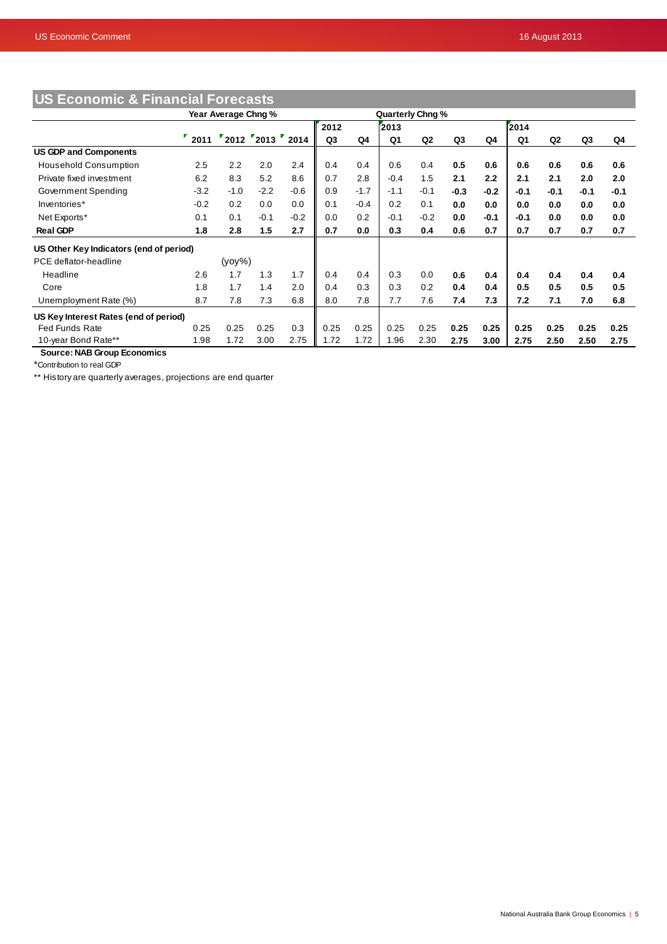| US Economic & Financial Forecasts       |                     |        |                  |        |                  |        |        |        |        |        |        |                |        |        |
|-----------------------------------------|---------------------|--------|------------------|--------|------------------|--------|--------|--------|--------|--------|--------|----------------|--------|--------|
|                                         | Year Average Chng % |        |                  |        | Quarterly Chng % |        |        |        |        |        |        |                |        |        |
|                                         |                     |        |                  |        | 2012             |        | 2013   |        |        |        | 2014   |                |        |        |
|                                         | $\frac{1}{2011}$    |        | "2012"2013"2014" |        | Q3               | Q4     | Q1     | Q2     | Q3     | Q4     | Q1     | Q <sub>2</sub> | Q3     | Q4     |
| <b>US GDP and Components</b>            |                     |        |                  |        |                  |        |        |        |        |        |        |                |        |        |
| <b>Household Consumption</b>            | 2.5                 | 2.2    | 2.0              | 2.4    | 0.4              | 0.4    | 0.6    | 0.4    | 0.5    | 0.6    | 0.6    | 0.6            | 0.6    | 0.6    |
| Private fixed investment                | 6.2                 | 8.3    | 5.2              | 8.6    | 0.7              | 2.8    | $-0.4$ | 1.5    | 2.1    | 2.2    | 2.1    | 2.1            | 2.0    | 2.0    |
| Government Spending                     | $-3.2$              | $-1.0$ | $-2.2$           | $-0.6$ | 0.9              | $-1.7$ | $-1.1$ | $-0.1$ | $-0.3$ | $-0.2$ | $-0.1$ | $-0.1$         | $-0.1$ | $-0.1$ |
| Inventories*                            | $-0.2$              | 0.2    | 0.0              | 0.0    | 0.1              | $-0.4$ | 0.2    | 0.1    | 0.0    | 0.0    | 0.0    | 0.0            | 0.0    | 0.0    |
| Net Exports*                            | 0.1                 | 0.1    | $-0.1$           | $-0.2$ | 0.0              | 0.2    | $-0.1$ | $-0.2$ | 0.0    | $-0.1$ | $-0.1$ | 0.0            | 0.0    | 0.0    |
| <b>Real GDP</b>                         | 1.8                 | 2.8    | 1.5              | 2.7    | 0.7              | 0.0    | 0.3    | 0.4    | 0.6    | 0.7    | 0.7    | 0.7            | 0.7    | 0.7    |
| US Other Key Indicators (end of period) |                     |        |                  |        |                  |        |        |        |        |        |        |                |        |        |
| PCE deflator-headline                   | $(yoy\%)$           |        |                  |        |                  |        |        |        |        |        |        |                |        |        |
| Headline                                | 2.6                 | 1.7    | 1.3              | 1.7    | 0.4              | 0.4    | 0.3    | 0.0    | 0.6    | 0.4    | 0.4    | 0.4            | 0.4    | 0.4    |
| Core                                    | 1.8                 | 1.7    | 1.4              | 2.0    | 0.4              | 0.3    | 0.3    | 0.2    | 0.4    | 0.4    | 0.5    | 0.5            | 0.5    | 0.5    |
| Unemployment Rate (%)                   | 8.7                 | 7.8    | 7.3              | 6.8    | 8.0              | 7.8    | 7.7    | 7.6    | 7.4    | 7.3    | 7.2    | 7.1            | 7.0    | 6.8    |
| US Key Interest Rates (end of period)   |                     |        |                  |        |                  |        |        |        |        |        |        |                |        |        |
| <b>Fed Funds Rate</b>                   | 0.25                | 0.25   | 0.25             | 0.3    | 0.25             | 0.25   | 0.25   | 0.25   | 0.25   | 0.25   | 0.25   | 0.25           | 0.25   | 0.25   |
| 10-year Bond Rate**                     | 1.98                | 1.72   | 3.00             | 2.75   | 1.72             | 1.72   | 1.96   | 2.30   | 2.75   | 3.00   | 2.75   | 2.50           | 2.50   | 2.75   |

 **Source: NAB Group Economics**

\*Contribution to real GDP

\*\* History are quarterly averages, projections are end quarter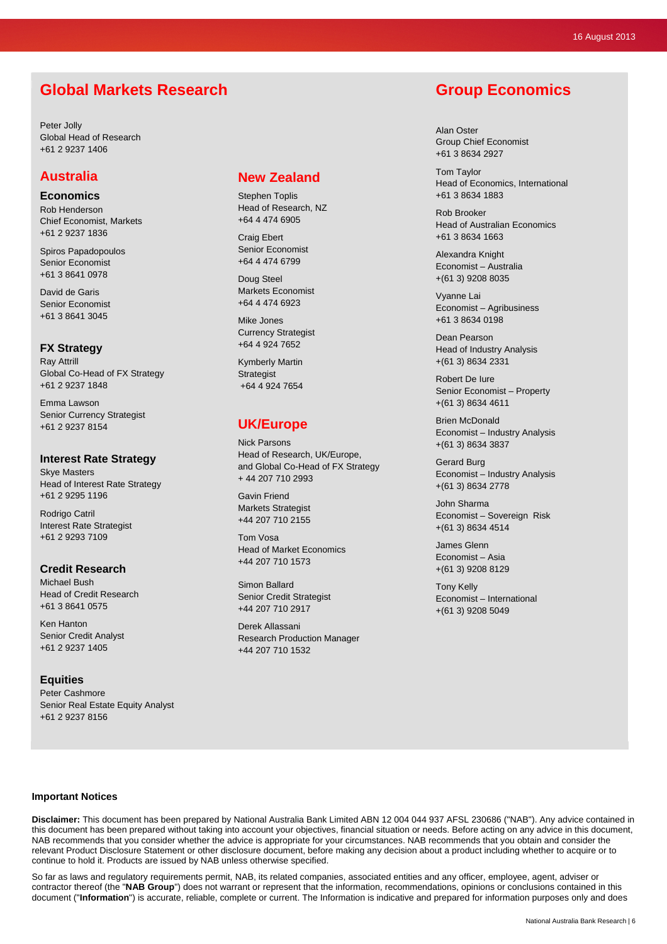# **Global Markets Research**

Peter Jolly Global Head of Research +61 2 9237 1406

## **Australia**

**Economics**  Rob Henderson Chief Economist, Markets +61 2 9237 1836

Spiros Papadopoulos Senior Economist +61 3 8641 0978

David de Garis Senior Economist +61 3 8641 3045

## **FX Strategy**

Ray Attrill Global Co-Head of FX Strategy +61 2 9237 1848

Emma Lawson Senior Currency Strategist +61 2 9237 8154

## **Interest Rate Strategy**

Skye Masters Head of Interest Rate Strategy +61 2 9295 1196

Rodrigo Catril Interest Rate Strategist +61 2 9293 7109

### **Credit Research**

Michael Bush Head of Credit Research +61 3 8641 0575

Ken Hanton Senior Credit Analyst +61 2 9237 1405

## **Equities**

Peter Cashmore Senior Real Estate Equity Analyst +61 2 9237 8156

# **New Zealand**

Stephen Toplis Head of Research, NZ +64 4 474 6905

Craig Ebert Senior Economist +64 4 474 6799

Doug Steel Markets Economist +64 4 474 6923

Mike Jones Currency Strategist +64 4 924 7652

Kymberly Martin **Strategist** +64 4 924 7654

# **UK/Europe**

Nick Parsons Head of Research, UK/Europe, and Global Co-Head of FX Strategy + 44 207 710 2993

Gavin Friend Markets Strategist +44 207 710 2155

Tom Vosa Head of Market Economics +44 207 710 1573

Simon Ballard Senior Credit Strategist +44 207 710 2917

Derek Allassani Research Production Manager +44 207 710 1532

# **Group Economics**

Alan Oster Group Chief Economist +61 3 8634 2927

Tom Taylor Head of Economics, International +61 3 8634 1883

Rob Brooker Head of Australian Economics +61 3 8634 1663

Alexandra Knight Economist – Australia +(61 3) 9208 8035

Vyanne Lai Economist – Agribusiness +61 3 8634 0198

Dean Pearson Head of Industry Analysis +(61 3) 8634 2331

Robert De Iure Senior Economist – Property +(61 3) 8634 4611

Brien McDonald Economist – Industry Analysis +(61 3) 8634 3837

Gerard Burg Economist – Industry Analysis +(61 3) 8634 2778

John Sharma Economist – Sovereign Risk +(61 3) 8634 4514

James Glenn Economist – Asia +(61 3) 9208 8129

Tony Kelly Economist – International +(61 3) 9208 5049

## **Important Notices**

**Disclaimer:** This document has been prepared by National Australia Bank Limited ABN 12 004 044 937 AFSL 230686 ("NAB"). Any advice contained in this document has been prepared without taking into account your objectives, financial situation or needs. Before acting on any advice in this document, NAB recommends that you consider whether the advice is appropriate for your circumstances. NAB recommends that you obtain and consider the relevant Product Disclosure Statement or other disclosure document, before making any decision about a product including whether to acquire or to continue to hold it. Products are issued by NAB unless otherwise specified.

So far as laws and regulatory requirements permit, NAB, its related companies, associated entities and any officer, employee, agent, adviser or contractor thereof (the "**NAB Group**") does not warrant or represent that the information, recommendations, opinions or conclusions contained in this document ("**Information**") is accurate, reliable, complete or current. The Information is indicative and prepared for information purposes only and does